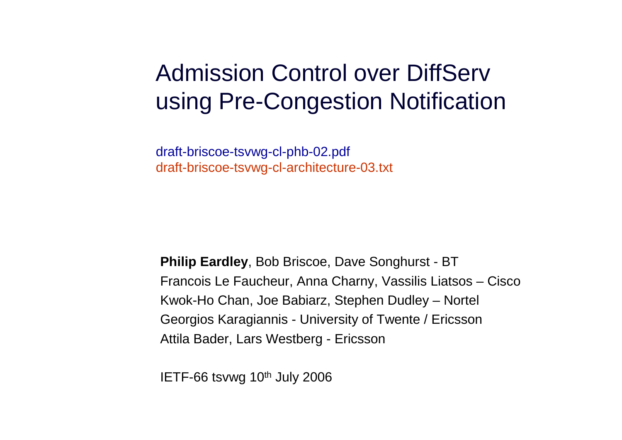#### Admission Control over DiffServ using Pre-Congestion Notification

draft-briscoe-tsvwg-cl-phb-02.pdfdraft-briscoe-tsvwg-cl-architecture-03.txt

**Philip Eardley**, Bob Briscoe, Dave Songhurst - BTFrancois Le Faucheur, Anna Charny, Vassilis Liatsos – CiscoKwok-Ho Chan, Joe Babiarz, Stephen Dudley – Nortel Georgios Karagiannis - University of Twente / EricssonAttila Bader, Lars Westberg - Ericsson

IETF-66 tsvwg 10th July 2006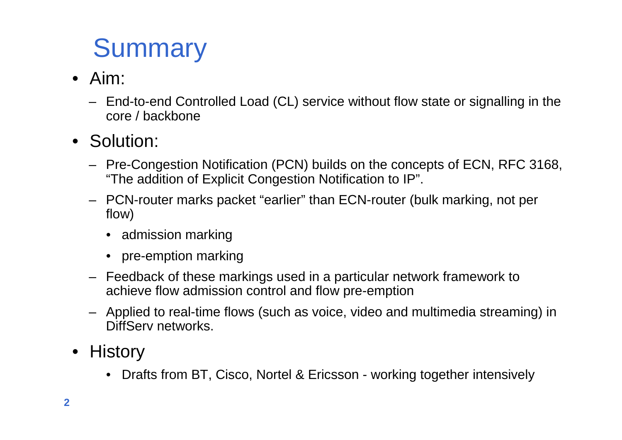## **Summary**

- Aim:
	- End-to-end Controlled Load (CL) service without flow state or signalling in the core / backbone
- Solution:
	- Pre-Congestion Notification (PCN) builds on the concepts of ECN, RFC 3168, "The addition of Explicit Congestion Notification to IP".
	- PCN-router marks packet "earlier" than ECN-router (bulk marking, not per flow)
		- admission marking
		- pre-emption marking
	- Feedback of these markings used in a particular network framework to achieve flow admission control and flow pre-emption
	- Applied to real-time flows (such as voice, video and multimedia streaming) in DiffServ networks.
- History
	- $\bullet$ Drafts from BT, Cisco, Nortel & Ericsson - working together intensively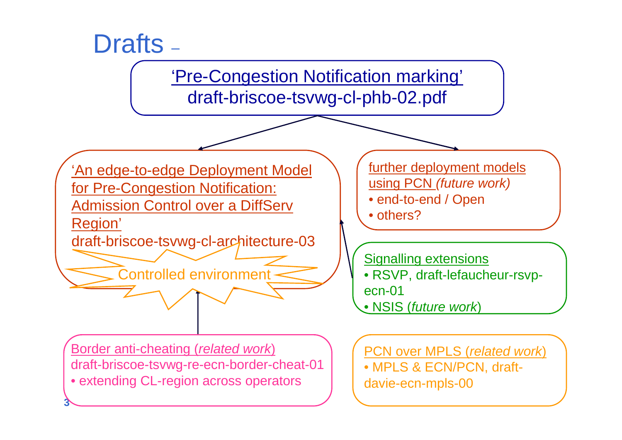

**Border anti-cheating (related work)** draft-briscoe-tsvwg-re-ecn-border-cheat-01• extending CL-region across operators

**3**

PCN over MPLS (related work) • MPLS & ECN/PCN, draftdavie-ecn-mpls-00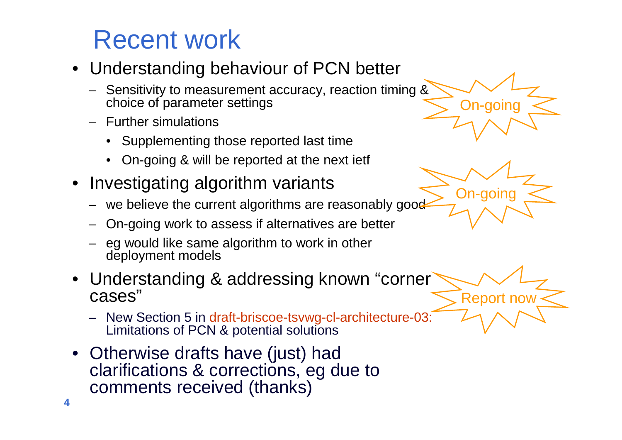### Recent work

- Understanding behaviour of PCN better
	- –Sensitivity to measurement accuracy, reaction timing & choice of parameter settings
	- Further simulations
		- Supplementing those reported last time
		- On-going & will be reported at the next ietf
- Investigating algorithm variants
	- we believe the current algorithms are reasonably good
	- –On-going work to assess if alternatives are better
	- eg would like same algorithm to work in other deployment models
- Understanding & addressing known "corner cases"
	- New Section 5 in draft-briscoe-tsvwg-cl-architecture-03: Limitations of PCN & potential solutions
- Otherwise drafts have (just) had clarifications & corrections, eg due to comments received (thanks)





Report now

**4**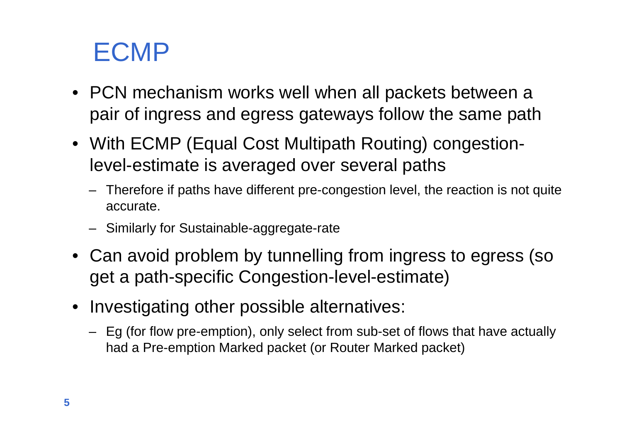#### ECMP

- PCN mechanism works well when all packets between a pair of ingress and egress gateways follow the same path
- With ECMP (Equal Cost Multipath Routing) congestionlevel-estimate is averaged over several paths
	- Therefore if paths have different pre-congestion level, the reaction is not quite accurate.
	- Similarly for Sustainable-aggregate-rate
- Can avoid problem by tunnelling from ingress to egress (so get a path-specific Congestion-level-estimate)
- Investigating other possible alternatives:
	- Eg (for flow pre-emption), only select from sub-set of flows that have actually had a Pre-emption Marked packet (or Router Marked packet)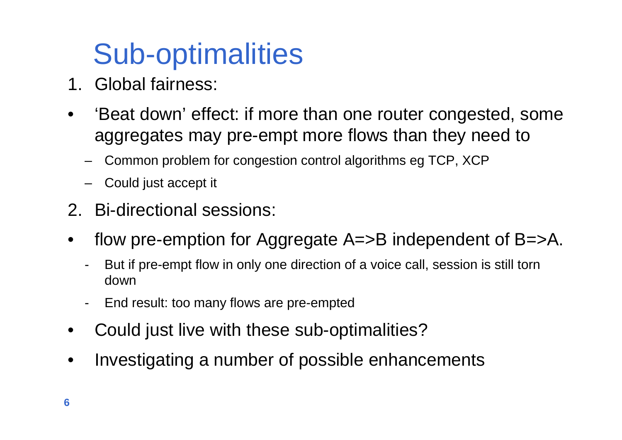# Sub-optimalities

- 1. Global fairness:
- • 'Beat down' effect: if more than one router congested, some aggregates may pre-empt more flows than they need to
	- Common problem for congestion control algorithms eg TCP, XCP
	- Could just accept it
- 2. Bi-directional sessions:
- • flow pre-emption for Aggregate A=>B independent of B=>A.
	- - But if pre-empt flow in only one direction of a voice call, session is still torn down
	- -End result: too many flows are pre-empted
- $\bullet$ Could just live with these sub-optimalities?
- •Investigating a number of possible enhancements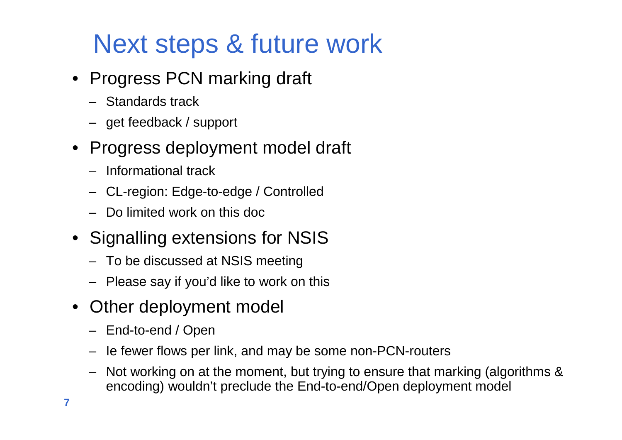### Next steps & future work

- Progress PCN marking draft
	- Standards track
	- get feedback / support
- • Progress deployment model draft
	- Informational track
	- CL-region: Edge-to-edge / Controlled
	- Do limited work on this doc
- Signalling extensions for NSIS
	- To be discussed at NSIS meeting
	- Please say if you'd like to work on this
- Other deployment model
	- End-to-end / Open
	- Ie fewer flows per link, and may be some non-PCN-routers
	- Not working on at the moment, but trying to ensure that marking (algorithms & encoding) wouldn't preclude the End-to-end/Open deployment model